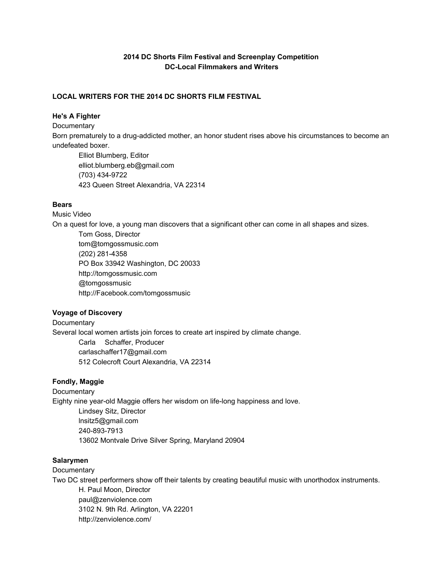# **2014 DC Shorts Film Festival and Screenplay Competition DCLocal Filmmakers and Writers**

## **LOCAL WRITERS FOR THE 2014 DC SHORTS FILM FESTIVAL**

# **He's A Fighter**

**Documentary** Born prematurely to a drug-addicted mother, an honor student rises above his circumstances to become an undefeated boxer. Elliot Blumberg, Editor

elliot.blumberg.eb@gmail.com (703) 434-9722 423 Queen Street Alexandria, VA 22314

# **Bears**

Music Video

On a quest for love, a young man discovers that a significant other can come in all shapes and sizes.

Tom Goss, Director tom@tomgossmusic.com (202) 281-4358 PO Box 33942 Washington, DC 20033 http://tomgossmusic.com @tomgossmusic http://Facebook.com/tomgossmusic

# **Voyage of Discovery**

**Documentary** Several local women artists join forces to create art inspired by climate change. Carla Schaffer, Producer carlaschaffer17@gmail.com 512 Colecroft Court Alexandria, VA 22314

# **Fondly, Maggie**

**Documentary** Eighty nine year-old Maggie offers her wisdom on life-long happiness and love. Lindsey Sitz, Director lnsitz5@gmail.com 240-893-7913 13602 Montvale Drive Silver Spring, Maryland 20904

## **Salarymen**

**Documentary** Two DC street performers show off their talents by creating beautiful music with unorthodox instruments. H. Paul Moon, Director paul@zenviolence.com 3102 N. 9th Rd. Arlington, VA 22201 http://zenviolence.com/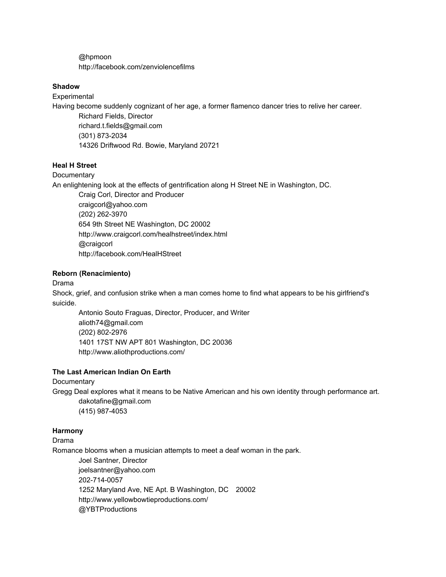@hpmoon http://facebook.com/zenviolencefilms

#### **Shadow**

**Experimental** 

Having become suddenly cognizant of her age, a former flamenco dancer tries to relive her career.

Richard Fields, Director richard.t.fields@gmail.com (301) 873-2034 14326 Driftwood Rd. Bowie, Maryland 20721

#### **Heal H Street**

**Documentary** 

An enlightening look at the effects of gentrification along H Street NE in Washington, DC.

Craig Corl, Director and Producer craigcorl@yahoo.com (202) 262-3970 654 9th Street NE Washington, DC 20002 http://www.craigcorl.com/healhstreet/index.html @craigcorl http://facebook.com/HealHStreet

## **Reborn (Renacimiento)**

Drama

Shock, grief, and confusion strike when a man comes home to find what appears to be his girlfriend's suicide.

Antonio Souto Fraguas, Director, Producer, and Writer alioth74@gmail.com (202) 802-2976 1401 17ST NW APT 801 Washington, DC 20036 http://www.aliothproductions.com/

#### **The Last American Indian On Earth**

**Documentary** 

Gregg Deal explores what it means to be Native American and his own identity through performance art. dakotafine@gmail.com (415) 987-4053

#### **Harmony**

Drama

Romance blooms when a musician attempts to meet a deaf woman in the park.

Joel Santner, Director joelsantner@yahoo.com 202-714-0057 1252 Maryland Ave, NE Apt. B Washington, DC 20002 http://www.yellowbowtieproductions.com/ @YBTProductions